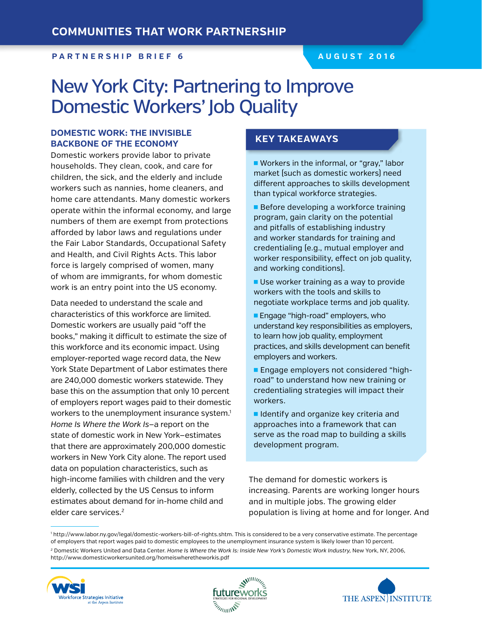### **P A rtnership B rief 6 Augu st 2016**

# New York City: Partnering to Improve Domestic Workers' Job Quality

# **DOMESTIC WORK: THE INVISIBLE BACKBONE OF THE ECONOMY**

Domestic workers provide labor to private households. They clean, cook, and care for children, the sick, and the elderly and include workers such as nannies, home cleaners, and home care attendants. Many domestic workers operate within the informal economy, and large numbers of them are exempt from protections afforded by labor laws and regulations under the Fair Labor Standards, Occupational Safety and Health, and Civil Rights Acts. This labor force is largely comprised of women, many of whom are immigrants, for whom domestic work is an entry point into the US economy.

Data needed to understand the scale and characteristics of this workforce are limited. Domestic workers are usually paid "off the books," making it difficult to estimate the size of this workforce and its economic impact. Using employer-reported wage record data, the New York State Department of Labor estimates there are 240,000 domestic workers statewide. They base this on the assumption that only 10 percent of employers report wages paid to their domestic workers to the unemployment insurance system.<sup>1</sup> *Home Is Where the Work Is*—a report on the state of domestic work in New York—estimates that there are approximately 200,000 domestic workers in New York City alone. The report used data on population characteristics, such as high-income families with children and the very elderly, collected by the US Census to inform estimates about demand for in-home child and elder care services.<sup>2</sup>

# **Key Takeaways**

■ Workers in the informal, or "gray," labor market (such as domestic workers) need different approaches to skills development than typical workforce strategies.

**Before developing a workforce training** program, gain clarity on the potential and pitfalls of establishing industry and worker standards for training and credentialing (e.g., mutual employer and worker responsibility, effect on job quality, and working conditions).

 $\blacksquare$  Use worker training as a way to provide workers with the tools and skills to negotiate workplace terms and job quality.

**Engage "high-road" employers, who** understand key responsibilities as employers, to learn how job quality, employment practices, and skills development can benefit employers and workers.

**Engage employers not considered "high**road" to understand how new training or credentialing strategies will impact their workers.

I Identify and organize key criteria and approaches into a framework that can serve as the road map to building a skills development program.

The demand for domestic workers is increasing. Parents are working longer hours and in multiple jobs. The growing elder population is living at home and for longer. And

1 http://www.labor.ny.gov/legal/domestic-workers-bill-of-rights.shtm. This is considered to be a very conservative estimate. The percentage of employers that report wages paid to domestic employees to the unemployment insurance system is likely lower than 10 percent.

2 Domestic Workers United and Data Center. *Home Is Where the Work Is: Inside New York's Domestic Work Industry,* New York, NY, 2006, http://www.domesticworkersunited.org/homeiswheretheworkis.pdf





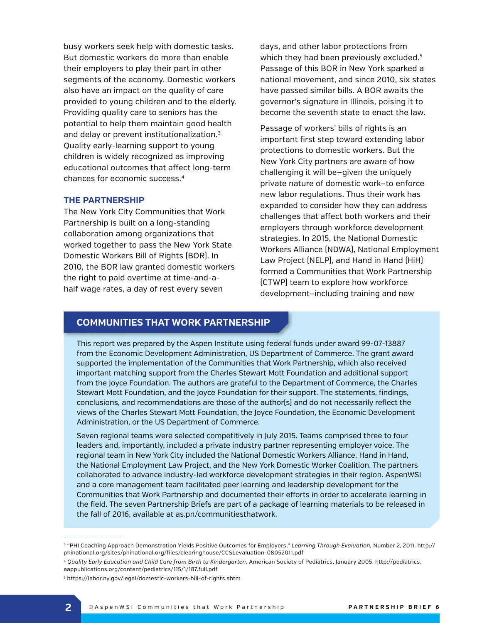busy workers seek help with domestic tasks. But domestic workers do more than enable their employers to play their part in other segments of the economy. Domestic workers also have an impact on the quality of care provided to young children and to the elderly. Providing quality care to seniors has the potential to help them maintain good health and delay or prevent institutionalization.<sup>3</sup> Quality early-learning support to young children is widely recognized as improving educational outcomes that affect long-term chances for economic success.4

#### **THE PARTNERSHIP**

The New York City Communities that Work Partnership is built on a long-standing collaboration among organizations that worked together to pass the New York State Domestic Workers Bill of Rights (BOR). In 2010, the BOR law granted domestic workers the right to paid overtime at time-and-ahalf wage rates, a day of rest every seven

days, and other labor protections from which they had been previously excluded.<sup>5</sup> Passage of this BOR in New York sparked a national movement, and since 2010, six states have passed similar bills. A BOR awaits the governor's signature in Illinois, poising it to become the seventh state to enact the law.

Passage of workers' bills of rights is an important first step toward extending labor protections to domestic workers. But the New York City partners are aware of how challenging it will be—given the uniquely private nature of domestic work—to enforce new labor regulations. Thus their work has expanded to consider how they can address challenges that affect both workers and their employers through workforce development strategies. In 2015, the National Domestic Workers Alliance (NDWA), National Employment Law Project (NELP), and Hand in Hand (HiH) formed a Communities that Work Partnership (CTWP) team to explore how workforce development—including training and new

## **Communities that Work Partnership**

This report was prepared by the Aspen Institute using federal funds under award 99-07-13887 from the Economic Development Administration, US Department of Commerce. The grant award supported the implementation of the Communities that Work Partnership, which also received important matching support from the Charles Stewart Mott Foundation and additional support from the Joyce Foundation. The authors are grateful to the Department of Commerce, the Charles Stewart Mott Foundation, and the Joyce Foundation for their support. The statements, findings, conclusions, and recommendations are those of the author(s) and do not necessarily reflect the views of the Charles Stewart Mott Foundation, the Joyce Foundation, the Economic Development Administration, or the US Department of Commerce.

Seven regional teams were selected competitively in July 2015. Teams comprised three to four leaders and, importantly, included a private industry partner representing employer voice. The regional team in New York City included the National Domestic Workers Alliance, Hand in Hand, the National Employment Law Project, and the New York Domestic Worker Coalition. The partners collaborated to advance industry-led workforce development strategies in their region. AspenWSI and a core management team facilitated peer learning and leadership development for the Communities that Work Partnership and documented their efforts in order to accelerate learning in the field. The seven Partnership Briefs are part of a package of learning materials to be released in the fall of 2016, available at as.pn/communitiesthatwork.

<sup>3 &</sup>quot;PHI Coaching Approach Demonstration Yields Positive Outcomes for Employers," *Learning Through Evaluation,* Number 2, 2011. http:// phinational.org/sites/phinational.org/files/clearinghouse/CCSLevaluation-08052011.pdf

<sup>4</sup> *Quality Early Education and Child Care from Birth to Kindergarten,* American Society of Pediatrics, January 2005. http://pediatrics. aappublications.org/content/pediatrics/115/1/187.full.pdf

<sup>5</sup> https://labor.ny.gov/legal/domestic-workers-bill-of-rights.shtm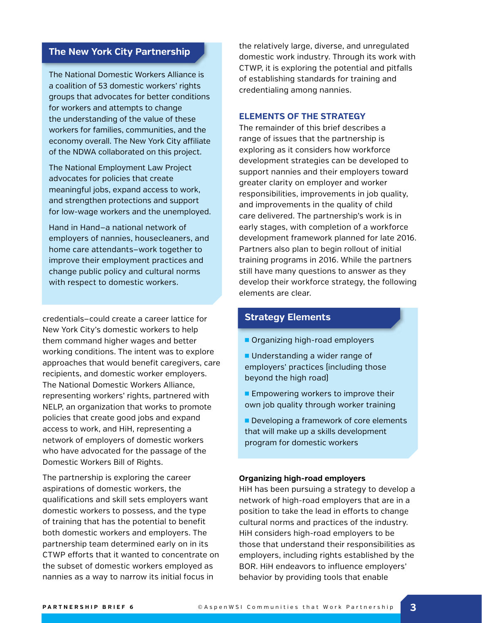# **The New York City Partnership**

The National Domestic Workers Alliance is a coalition of 53 domestic workers' rights groups that advocates for better conditions for workers and attempts to change the understanding of the value of these workers for families, communities, and the economy overall. The New York City affiliate of the NDWA collaborated on this project.

The National Employment Law Project advocates for policies that create meaningful jobs, expand access to work, and strengthen protections and support for low-wage workers and the unemployed.

Hand in Hand—a national network of employers of nannies, housecleaners, and home care attendants—work together to improve their employment practices and change public policy and cultural norms with respect to domestic workers.

credentials—could create a career lattice for New York City's domestic workers to help them command higher wages and better working conditions. The intent was to explore approaches that would benefit caregivers, care recipients, and domestic worker employers. The National Domestic Workers Alliance, representing workers' rights, partnered with NELP, an organization that works to promote policies that create good jobs and expand access to work, and HiH, representing a network of employers of domestic workers who have advocated for the passage of the Domestic Workers Bill of Rights.

The partnership is exploring the career aspirations of domestic workers, the qualifications and skill sets employers want domestic workers to possess, and the type of training that has the potential to benefit both domestic workers and employers. The partnership team determined early on in its CTWP efforts that it wanted to concentrate on the subset of domestic workers employed as nannies as a way to narrow its initial focus in

the relatively large, diverse, and unregulated domestic work industry. Through its work with CTWP, it is exploring the potential and pitfalls of establishing standards for training and credentialing among nannies.

#### **ELEMENTS OF THE STRATEGY**

The remainder of this brief describes a range of issues that the partnership is exploring as it considers how workforce development strategies can be developed to support nannies and their employers toward greater clarity on employer and worker responsibilities, improvements in job quality, and improvements in the quality of child care delivered. The partnership's work is in early stages, with completion of a workforce development framework planned for late 2016. Partners also plan to begin rollout of initial training programs in 2016. While the partners still have many questions to answer as they develop their workforce strategy, the following elements are clear.

# **Strategy Elements**

- **n** Organizing high-road employers
- Understanding a wider range of employers' practices (including those beyond the high road)
- $\blacksquare$  Empowering workers to improve their own job quality through worker training
- Developing a framework of core elements that will make up a skills development program for domestic workers

#### **Organizing high-road employers**

HiH has been pursuing a strategy to develop a network of high-road employers that are in a position to take the lead in efforts to change cultural norms and practices of the industry. HiH considers high-road employers to be those that understand their responsibilities as employers, including rights established by the BOR. HiH endeavors to influence employers' behavior by providing tools that enable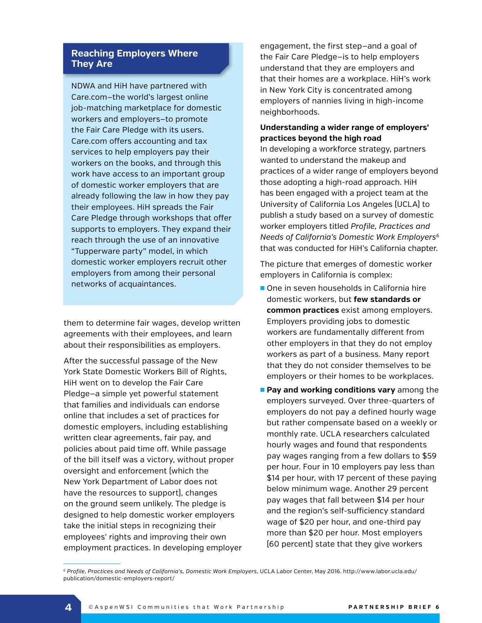# **Reaching Employers Where They Are**

NDWA and HiH have partnered with Care.com—the world's largest online job-matching marketplace for domestic workers and employers—to promote the Fair Care Pledge with its users. Care.com offers accounting and tax services to help employers pay their workers on the books, and through this work have access to an important group of domestic worker employers that are already following the law in how they pay their employees. HiH spreads the Fair Care Pledge through workshops that offer supports to employers. They expand their reach through the use of an innovative "Tupperware party" model, in which domestic worker employers recruit other employers from among their personal networks of acquaintances.

them to determine fair wages, develop written agreements with their employees, and learn about their responsibilities as employers.

After the successful passage of the New York State Domestic Workers Bill of Rights, HiH went on to develop the Fair Care Pledge—a simple yet powerful statement that families and individuals can endorse online that includes a set of practices for domestic employers, including establishing written clear agreements, fair pay, and policies about paid time off. While passage of the bill itself was a victory, without proper oversight and enforcement (which the New York Department of Labor does not have the resources to support), changes on the ground seem unlikely. The pledge is designed to help domestic worker employers take the initial steps in recognizing their employees' rights and improving their own employment practices. In developing employer engagement, the first step—and a goal of the Fair Care Pledge—is to help employers understand that they are employers and that their homes are a workplace. HiH's work in New York City is concentrated among employers of nannies living in high-income neighborhoods.

# **Understanding a wider range of employers' practices beyond the high road**

In developing a workforce strategy, partners wanted to understand the makeup and practices of a wider range of employers beyond those adopting a high-road approach. HiH has been engaged with a project team at the University of California Los Angeles (UCLA) to publish a study based on a survey of domestic worker employers titled *Profile, Practices and Needs of California's Domestic Work Employers*<sup>6</sup> that was conducted for HiH's California chapter.

The picture that emerges of domestic worker employers in California is complex:

- One in seven households in California hire domestic workers, but **few standards or common practices** exist among employers. Employers providing jobs to domestic workers are fundamentally different from other employers in that they do not employ workers as part of a business. Many report that they do not consider themselves to be employers or their homes to be workplaces.
- **Pay and working conditions vary** among the employers surveyed. Over three-quarters of employers do not pay a defined hourly wage but rather compensate based on a weekly or monthly rate. UCLA researchers calculated hourly wages and found that respondents pay wages ranging from a few dollars to \$59 per hour. Four in 10 employers pay less than \$14 per hour, with 17 percent of these paying below minimum wage. Another 29 percent pay wages that fall between \$14 per hour and the region's self-sufficiency standard wage of \$20 per hour, and one-third pay more than \$20 per hour. Most employers (60 percent) state that they give workers

<sup>&</sup>lt;sup>6</sup> Profile, Practices and Needs of California's, Domestic Work Employers, UCLA Labor Center, May 2016. http://www.labor.ucla.edu/ publication/domestic-employers-report/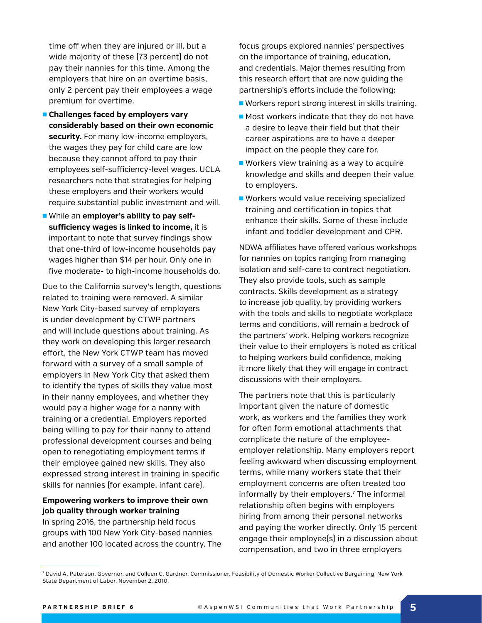time off when they are injured or ill, but a wide majority of these (73 percent) do not pay their nannies for this time. Among the employers that hire on an overtime basis, only 2 percent pay their employees a wage premium for overtime.

- **n** Challenges faced by employers vary **considerably based on their own economic security.** For many low-income employers, the wages they pay for child care are low because they cannot afford to pay their employees self-sufficiency-level wages. UCLA researchers note that strategies for helping these employers and their workers would require substantial public investment and will.
- **n** While an employer's ability to pay self**sufficiency wages is linked to income,** it is important to note that survey findings show that one-third of low-income households pay wages higher than \$14 per hour. Only one in five moderate- to high-income households do.

Due to the California survey's length, questions related to training were removed. A similar New York City-based survey of employers is under development by CTWP partners and will include questions about training. As they work on developing this larger research effort, the New York CTWP team has moved forward with a survey of a small sample of employers in New York City that asked them to identify the types of skills they value most in their nanny employees, and whether they would pay a higher wage for a nanny with training or a credential. Employers reported being willing to pay for their nanny to attend professional development courses and being open to renegotiating employment terms if their employee gained new skills. They also expressed strong interest in training in specific skills for nannies (for example, infant care).

# **Empowering workers to improve their own job quality through worker training**

In spring 2016, the partnership held focus groups with 100 New York City-based nannies and another 100 located across the country. The focus groups explored nannies' perspectives on the importance of training, education, and credentials. Major themes resulting from this research effort that are now guiding the partnership's efforts include the following:

- Workers report strong interest in skills training.
- $\blacksquare$  Most workers indicate that they do not have a desire to leave their field but that their career aspirations are to have a deeper impact on the people they care for.
- $\blacksquare$  Workers view training as a way to acquire knowledge and skills and deepen their value to employers.
- Workers would value receiving specialized training and certification in topics that enhance their skills. Some of these include infant and toddler development and CPR.

NDWA affiliates have offered various workshops for nannies on topics ranging from managing isolation and self-care to contract negotiation. They also provide tools, such as sample contracts. Skills development as a strategy to increase job quality, by providing workers with the tools and skills to negotiate workplace terms and conditions, will remain a bedrock of the partners' work. Helping workers recognize their value to their employers is noted as critical to helping workers build confidence, making it more likely that they will engage in contract discussions with their employers.

The partners note that this is particularly important given the nature of domestic work, as workers and the families they work for often form emotional attachments that complicate the nature of the employeeemployer relationship. Many employers report feeling awkward when discussing employment terms, while many workers state that their employment concerns are often treated too informally by their employers.7 The informal relationship often begins with employers hiring from among their personal networks and paying the worker directly. Only 15 percent engage their employee(s) in a discussion about compensation, and two in three employers

<sup>7</sup> David A. Paterson, Governor, and Colleen C. Gardner, Commissioner, Feasibility of Domestic Worker Collective Bargaining, New York State Department of Labor, November 2, 2010.